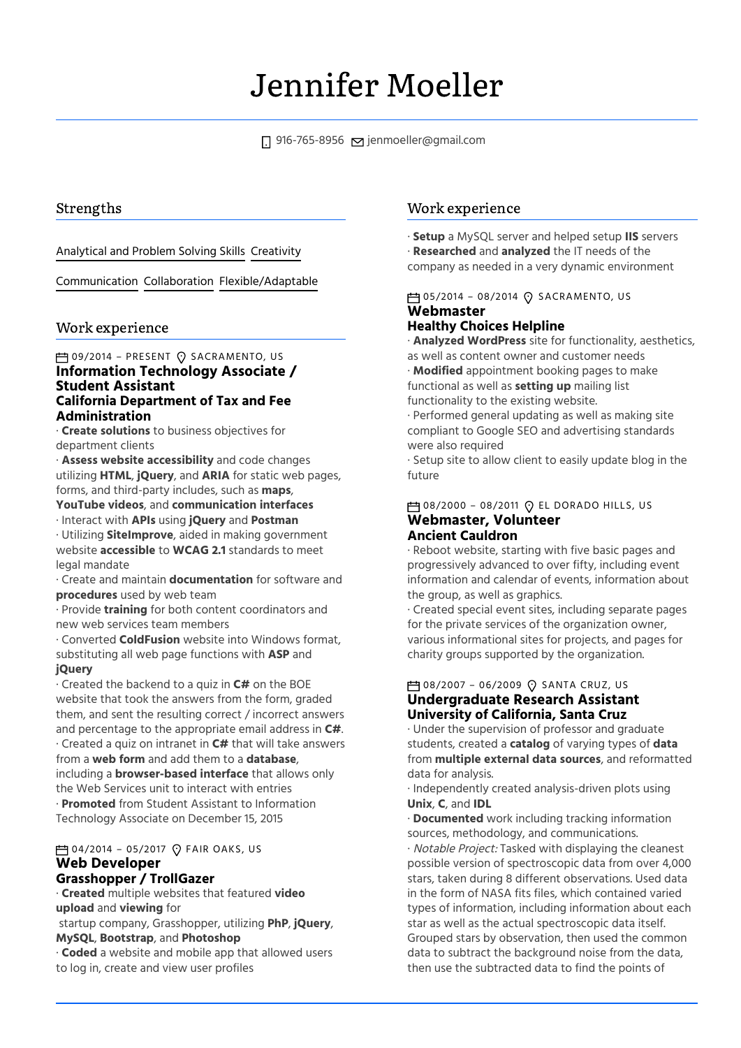# Jennifer Moeller

 $\Box$  916-765-8956  $\Box$  [jenmoeller@gmail.com](mailto:jenmoeller@gmail.com)

## Strengths

### Analytical and Problem Solving Skills Creativity

Communication Collaboration Flexible/Adaptable

## Work experience

#### **Information Technology Associate / Student Assistant California Department of Tax and Fee Administration □ 09/2014 - PRESENT ⊙ SACRAMENTO, US**

· **Create solutions** to business objectives for department clients

· **Assess website accessibility** and code changes utilizing **HTML**, **jQuery**, and **ARIA** for static web pages, forms, and third-party includes, such as **maps**,

**YouTube videos**, and **communication interfaces** · Interact with **APIs** using **jQuery** and **Postman**

· Utilizing **SiteImprove**, aided in making government website **accessible** to **WCAG 2.1** standards to meet legal mandate

· Create and maintain **documentation** for software and **procedures** used by web team

· Provide **training** for both content coordinators and new web services team members

· Converted **ColdFusion** website into Windows format, substituting all web page functions with **ASP** and **jQuery**

· Created the backend to a quiz in **C#** on the BOE website that took the answers from the form, graded them, and sent the resulting correct / incorrect answers and percentage to the appropriate email address in **C#**. · Created a quiz on intranet in **C#** that will take answers from a **web form** and add them to a **database**, including a **browser-based interface** that allows only the Web Services unit to interact with entries · **Promoted** from Student Assistant to Information Technology Associate on December 15, 2015

 $\rightleftharpoons$  04/2014 - 05/2017  $\odot$  FAIR OAKS, US

#### **Web Developer Grasshopper / TrollGazer**

· **Created** multiple websites that featured **video upload** and **viewing** for

startup company, Grasshopper, utilizing **PhP**, **jQuery**, **MySQL**, **Bootstrap**, and **Photoshop**

· **Coded** a website and mobile app that allowed users to log in, create and view user profiles

## Work experience

· **Setup** a MySQL server and helped setup **IIS** servers · **Researched** and **analyzed** the IT needs of the company as needed in a very dynamic environment

## **Webmaster**  $\overline{P}$ 105/2014 – 08/2014 $\Omega$  SACRAMENTO, US

## **Healthy Choices Helpline**

· **Analyzed WordPress** site for functionality, aesthetics, as well as content owner and customer needs · **Modified** appointment booking pages to make functional as well as **setting up** mailing list functionality to the existing website. · Performed general updating as well as making site compliant to Google SEO and advertising standards were also required

· Setup site to allow client to easily update blog in the future

**Webmaster, Volunteer Ancient Cauldron**  $\overline{P}$ 108/2000 – 08/2011  $\Omega$  EL DORADO HILLS, US

· Reboot website, starting with five basic pages and progressively advanced to over fifty, including event information and calendar of events, information about the group, as well as graphics.

· Created special event sites, including separate pages for the private services of the organization owner, various informational sites for projects, and pages for charity groups supported by the organization.

## **Undergraduate Research Assistant University of California, Santa Cruz**  $\uparrow$  08/2007 – 06/2009  $\lozenge$  SANTA CRUZ, US

· Under the supervision of professor and graduate students, created a **catalog** of varying types of **data** from **multiple external data sources**, and reformatted data for analysis.

· Independently created analysis-driven plots using **Unix**, **C**, and **IDL**

· **Documented** work including tracking information sources, methodology, and communications.

· Notable Project: Tasked with displaying the cleanest possible version of spectroscopic data from over 4,000 stars, taken during 8 different observations. Used data in the form of NASA fits files, which contained varied types of information, including information about each star as well as the actual spectroscopic data itself. Grouped stars by observation, then used the common data to subtract the background noise from the data, then use the subtracted data to find the points of